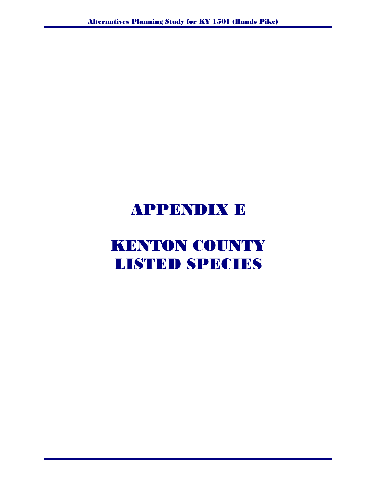## APPENDIX E

# KENTON COUNTY LISTED SPECIES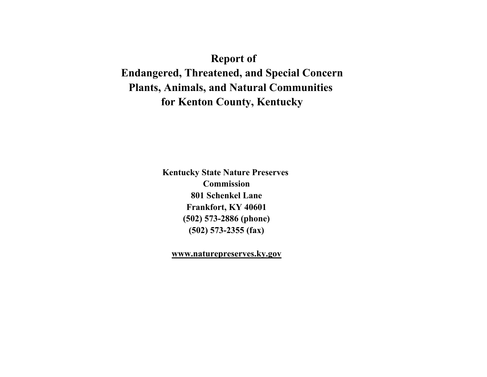### **Report of**

**Endangered, Threatened, and Special Concern Plants, Animals, and Natural Communities for Kenton County, Kentucky**

> **Kentucky State Nature Preserves Commission 801 Schenkel Lane Frankfort, KY 40601 (502) 573-2886 (phone) (502) 573-2355 (fax)**

**www.naturepreserves.ky.gov**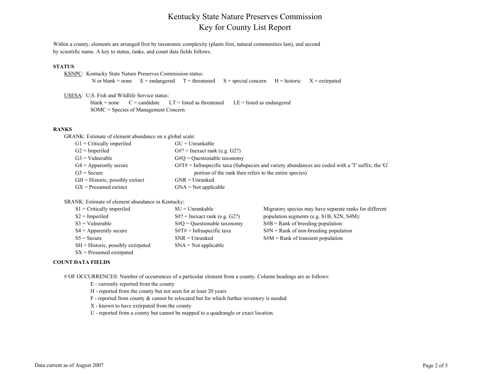### Kentucky State Nature Preserves Commission Key for County List Report

Within a county, elements are arranged first by taxonomic complexity (plants first, natural communities last), and second by scientific name. A key to status, ranks, and count data fields follows.

#### **STATUS**

| KSNPC: Kentucky State Nature Preserves Commission status: |  |  |                                                                                                   |  |  |  |  |  |
|-----------------------------------------------------------|--|--|---------------------------------------------------------------------------------------------------|--|--|--|--|--|
|                                                           |  |  | N or blank = none $E =$ endangered T = threatened S = special concern H = historic X = extirpated |  |  |  |  |  |

USESA: U.S. Fish and Wildlife Service status: blank = none  $C =$  candidate  $LT =$  listed as threatened  $LE =$  listed as endangered SOMC = Species of Management Concern

#### **RANKS**

GRANK: Estimate of element abundance on a global scale:

| $G1 =$ Critically imperiled        | $GU = Unrankable$                                                                                   |
|------------------------------------|-----------------------------------------------------------------------------------------------------|
| $G2 =$ Imperiled                   | $G#?$ = Inexact rank (e.g. $G2$ ?)                                                                  |
| $G3 =$ Vulnerable                  | $G\#Q =$ Questionable taxonomy                                                                      |
| $G4 =$ Apparently secure           | $G#T#$ = Infraspecific taxa (Subspecies and variety abundances are coded with a 'T' suffix; the 'G' |
| $G5 =$ Secure                      | portion of the rank then refers to the entire species)                                              |
| $GH = Historic$ , possibly extinct | $GNR = Unranked$                                                                                    |
| $GX =$ Presumed extinct            | $GNA = Not applicable$                                                                              |

SRANK: Estimate of element abundance in Kentucky:

| $S1 =$ Critically imperiled           | $SU = Unrankable$               | Migratory species may have separate ranks for different |
|---------------------------------------|---------------------------------|---------------------------------------------------------|
| $S2 =$ Imperiled                      | $S#?$ = Inexact rank (e.g. G2?) | population segments (e.g. S1B, S2N, S4M):               |
| $S3 =$ Vulnerable                     | $S#Q =$ Questionable taxonomy   | $S#B =$ Rank of breeding population                     |
| $S4 =$ Apparently secure              | $S\#T\#$ = Infraspecific taxa   | $S#N =$ Rank of non-breeding population                 |
| $S5 =$ Secure                         | $SNR = Unranked$                | $S#M = Rank$ of transient population                    |
| $SH = H$ istoric, possibly extirpated | $SNA = Not applicable$          |                                                         |
| $SX =$ Presumed extirpated            |                                 |                                                         |

#### **COUNT DATA FIELDS**

# OF OCCURRENCES: Number of occurrences of a particular element from a county. Column headings are as follows:

E - currently reported from the county

- H reported from the county but not seen for at least 20 years
- F reported from county & cannot be relocated but for which further inventory is needed
- X known to have extirpated from the county
- U reported from a county but cannot be mapped to a quadrangle or exact location.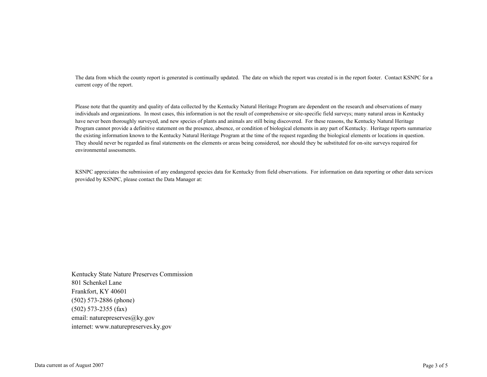The data from which the county report is generated is continually updated. The date on which the report was created is in the report footer. Contact KSNPC for a current copy of the report.

Please note that the quantity and quality of data collected by the Kentucky Natural Heritage Program are dependent on the research and observations of many individuals and organizations. In most cases, this information is not the result of comprehensive or site-specific field surveys; many natural areas in Kentucky have never been thoroughly surveyed, and new species of plants and animals are still being discovered. For these reasons, the Kentucky Natural Heritage Program cannot provide a definitive statement on the presence, absence, or condition of biological elements in any part of Kentucky. Heritage reports summarize the existing information known to the Kentucky Natural Heritage Program at the time of the request regarding the biological elements or locations in question. They should never be regarded as final statements on the elements or areas being considered, nor should they be substituted for on-site surveys required for environmental assessments.

KSNPC appreciates the submission of any endangered species data for Kentucky from field observations. For information on data reporting or other data services provided by KSNPC, please contact the Data Manager at:

Kentucky State Nature Preserves Commission 801 Schenkel Lane Frankfort, KY 40601 (502) 573-2886 (phone) (502) 573-2355 (fax) email: naturepreserves@ky.gov internet: www.naturepreserves.ky.gov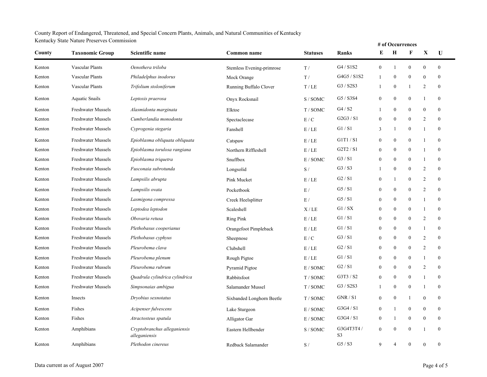#### County Report of Endangered, Threatened, and Special Concern Plants, Animals, and Natural Communities of Kentucky Kentucky State Nature Preserves Commission

| Renucky State Nature Preserves Commission |                           |                                               |                           |                 |                             |                  |                  | # of Occurrences |                  |                  |
|-------------------------------------------|---------------------------|-----------------------------------------------|---------------------------|-----------------|-----------------------------|------------------|------------------|------------------|------------------|------------------|
| County                                    | <b>Taxonomic Group</b>    | Scientific name                               | Common name               | <b>Statuses</b> | Ranks                       | E                | $\bf H$          | F                | X                | U                |
| Kenton                                    | Vascular Plants           | Oenothera triloba                             | Stemless Evening-primrose | T/              | G4 / S1S2                   | $\boldsymbol{0}$ | -1               | $\boldsymbol{0}$ | $\boldsymbol{0}$ | $\mathbf{0}$     |
| Kenton                                    | <b>Vascular Plants</b>    | Philadelphus inodorus                         | Mock Orange               | T/              | G4G5 / S1S2                 | $\mathbf{1}$     | $\boldsymbol{0}$ | $\bf{0}$         | $\boldsymbol{0}$ | $\mathbf{0}$     |
| Kenton                                    | <b>Vascular Plants</b>    | Trifolium stoloniferum                        | Running Buffalo Clover    | T/LE            | G3 / S2S3                   | -1               | $\boldsymbol{0}$ | 1                | $\overline{2}$   | $\mathbf{0}$     |
| Kenton                                    | <b>Aquatic Snails</b>     | Leptoxis praerosa                             | Onyx Rocksnail            | S/ SOMC         | G5 / S3S4                   | $\boldsymbol{0}$ | $\boldsymbol{0}$ | $\boldsymbol{0}$ | $\mathbf{1}$     | $\mathbf{0}$     |
| Kenton                                    | <b>Freshwater Mussels</b> | Alasmidonta marginata                         | Elktoe                    | T/SOMC          | G4 / S2                     | -1               | $\overline{0}$   | $\boldsymbol{0}$ | $\theta$         | $\mathbf{0}$     |
| Kenton                                    | <b>Freshwater Mussels</b> | Cumberlandia monodonta                        | Spectaclecase             | E/C             | G2G3 / S1                   | $\mathbf{0}$     | $\overline{0}$   | $\bf{0}$         | $\overline{2}$   | $\mathbf{0}$     |
| Kenton                                    | Freshwater Mussels        | Cyprogenia stegaria                           | Fanshell                  | E / LE          | GI / SI                     | 3                | 1                | $\bf{0}$         | $\mathbf{1}$     | $\mathbf{0}$     |
| Kenton                                    | Freshwater Mussels        | Epioblasma obliquata obliquata                | Catspaw                   | E / LE          | G1T1/S1                     | $\boldsymbol{0}$ | $\boldsymbol{0}$ | $\boldsymbol{0}$ | $\mathbf{1}$     | $\boldsymbol{0}$ |
| Kenton                                    | <b>Freshwater Mussels</b> | Epioblasma torulosa rangiana                  | Northern Riffleshell      | E/LE            | G2T2 / S1                   | $\mathbf{0}$     | $\boldsymbol{0}$ | $\bf{0}$         | $\mathbf{1}$     | $\mathbf{0}$     |
| Kenton                                    | Freshwater Mussels        | Epioblasma triquetra                          | Snuffbox                  | E / SOMC        | G3 / S1                     | $\mathbf{0}$     | $\mathbf{0}$     | $\boldsymbol{0}$ | $\mathbf{1}$     | $\mathbf{0}$     |
| Kenton                                    | <b>Freshwater Mussels</b> | Fusconaia subrotunda                          | Longsolid                 | S/              | G3 / S3                     | -1               | $\boldsymbol{0}$ | $\bf{0}$         | $\overline{2}$   | $\mathbf{0}$     |
| Kenton                                    | <b>Freshwater Mussels</b> | Lampsilis abrupta                             | Pink Mucket               | E/LE            | G2 / S1                     | $\boldsymbol{0}$ | 1                | $\bf{0}$         | 2                | $\mathbf{0}$     |
| Kenton                                    | <b>Freshwater Mussels</b> | Lampsilis ovata                               | Pocketbook                | E/              | G5 / S1                     | $\boldsymbol{0}$ | 0                | $\boldsymbol{0}$ | $\overline{2}$   | $\boldsymbol{0}$ |
| Kenton                                    | <b>Freshwater Mussels</b> | Lasmigona compressa                           | Creek Heelsplitter        | E/              | G5 / S1                     | $\boldsymbol{0}$ | $\boldsymbol{0}$ | $\boldsymbol{0}$ | $\mathbf{1}$     | $\mathbf{0}$     |
| Kenton                                    | Freshwater Mussels        | Leptodea leptodon                             | Scaleshell                | X/LE            | GI / SX                     | $\mathbf{0}$     | 0                | $\bf{0}$         | $\mathbf{1}$     | $\mathbf{0}$     |
| Kenton                                    | <b>Freshwater Mussels</b> | Obovaria retusa                               | <b>Ring Pink</b>          | E / LE          | GI / SI                     | $\boldsymbol{0}$ | $\bf{0}$         | $\boldsymbol{0}$ | 2                | $\mathbf{0}$     |
| Kenton                                    | <b>Freshwater Mussels</b> | Plethobasus cooperianus                       | Orangefoot Pimpleback     | E / LE          | GI / SI                     | $\boldsymbol{0}$ | $\boldsymbol{0}$ | $\bf{0}$         | $\mathbf{1}$     | $\boldsymbol{0}$ |
| Kenton                                    | Freshwater Mussels        | Plethobasus cyphyus                           | Sheepnose                 | E/C             | G3 / S1                     | $\mathbf{0}$     | $\boldsymbol{0}$ | $\bf{0}$         | $\overline{2}$   | $\mathbf{0}$     |
| Kenton                                    | Freshwater Mussels        | Pleurobema clava                              | Clubshell                 | E/LE            | G2/S1                       | $\boldsymbol{0}$ | $\theta$         | $\boldsymbol{0}$ | $\overline{2}$   | $\boldsymbol{0}$ |
| Kenton                                    | Freshwater Mussels        | Pleurobema plenum                             | Rough Pigtoe              | E / LE          | GI / SI                     | $\mathbf{0}$     | $\boldsymbol{0}$ | $\bf{0}$         | $\mathbf{1}$     | $\mathbf{0}$     |
| Kenton                                    | <b>Freshwater Mussels</b> | Pleurobema rubrum                             | Pyramid Pigtoe            | E / SOMC        | G2 / S1                     | $\mathbf{0}$     | $\mathbf{0}$     | $\bf{0}$         | $\overline{2}$   | $\mathbf{0}$     |
| Kenton                                    | Freshwater Mussels        | Quadrula cylindrica cylindrica                | Rabbitsfoot               | T/SOMC          | G3T3 / S2                   | $\boldsymbol{0}$ | $\boldsymbol{0}$ | $\bf{0}$         | $\mathbf{1}$     | $\Omega$         |
| Kenton                                    | <b>Freshwater Mussels</b> | Simpsonaias ambigua                           | Salamander Mussel         | T/SOMC          | G3 / S2S3                   |                  | $\boldsymbol{0}$ | $\bf{0}$         | $\mathbf{1}$     | $\mathbf{0}$     |
| Kenton                                    | Insects                   | Dryobius sexnotatus                           | Sixbanded Longhorn Beetle | T/SOMC          | GNR / S1                    | $\boldsymbol{0}$ | $\boldsymbol{0}$ | 1                | $\boldsymbol{0}$ | $\boldsymbol{0}$ |
| Kenton                                    | Fishes                    | Acipenser fulvescens                          | Lake Sturgeon             | E / SOMC        | G3G4/S1                     | $\boldsymbol{0}$ | 1                | $\boldsymbol{0}$ | $\boldsymbol{0}$ | $\boldsymbol{0}$ |
| Kenton                                    | Fishes                    | Atractosteus spatula                          | Alligator Gar             | E / SOMC        | G3G4/S1                     | $\boldsymbol{0}$ | 1                | $\bf{0}$         | $\boldsymbol{0}$ | $\boldsymbol{0}$ |
| Kenton                                    | Amphibians                | Cryptobranchus alleganiensis<br>alleganiensis | Eastern Hellbender        | S/SOMC          | G3G4T3T4/<br>S <sub>3</sub> | $\mathbf{0}$     | $\mathbf{0}$     | $\mathbf{0}$     | $\mathbf{1}$     | $\boldsymbol{0}$ |
| Kenton                                    | Amphibians                | Plethodon cinereus                            | Redback Salamander        | S/              | G5 / S3                     | 9                | $\overline{4}$   | $\mathbf{0}$     | $\theta$         | $\mathbf{0}$     |